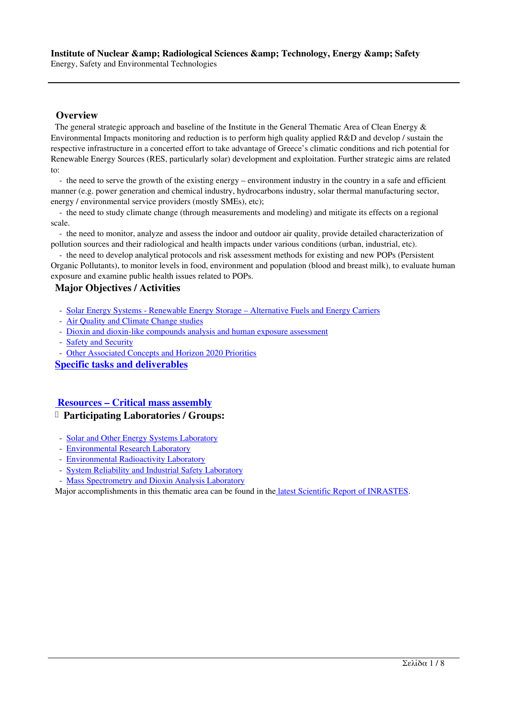## **Overview**

 The general strategic approach and baseline of the Institute in the General Thematic Area of Clean Energy & Environmental Impacts monitoring and reduction is to perform high quality applied R&D and develop / sustain the respective infrastructure in a concerted effort to take advantage of Greece's climatic conditions and rich potential for Renewable Energy Sources (RES, particularly solar) development and exploitation. Further strategic aims are related to:

 - the need to serve the growth of the existing energy – environment industry in the country in a safe and efficient manner (e.g. power generation and chemical industry, hydrocarbons industry, solar thermal manufacturing sector, energy / environmental service providers (mostly SMEs), etc);

 - the need to study climate change (through measurements and modeling) and mitigate its effects on a regional scale.

 - the need to monitor, analyze and assess the indoor and outdoor air quality, provide detailed characterization of pollution sources and their radiological and health impacts under various conditions (urban, industrial, etc).

 - the need to develop analytical protocols and risk assessment methods for existing and new POPs (Persistent Organic Pollutants), to monitor levels in food, environment and population (blood and breast milk), to evaluate human exposure and examine public health issues related to POPs.

## **Major Objectives / Activities**

- Solar Energy Systems Renewable Energy Storage Alternative Fuels and Energy Carriers
- Air Quality and Climate Change studies
- Dioxin and dioxin-like compounds analysis and human exposure assessment
- Safety and Security
- [Other Associated Concepts and Horizon 2020 Priorities](http://www.ipretea.demokritos.gr/index.php?option=com_content&task=view&id=15&Itemid=56&limit=1&limitstart=1)

**Sp[ecific tasks and deliverables](http://www.ipretea.demokritos.gr/index.php?option=com_content&task=view&id=15&Itemid=56&limit=1&limitstart=2)**

## **[Resources – Critical mass asse](http://www.ipretea.demokritos.gr/index.php?option=com_content&task=view&id=15&Itemid=56&limit=1&limitstart=6)[mbly](http://www.ipretea.demokritos.gr/index.php?option=com_content&task=view&id=15&Itemid=56&limit=1&limitstart=5)**

## **Participating Laboratories / Groups:**

- Solar and Other Energy Systems Laboratory
- [Environmental Research Laboratory](http://www.ipretea.demokritos.gr/index.php?option=com_content&task=view&id=15&Itemid=56&limit=1&limitstart=7)
- Environmental Radioactivity Laboratory
- System Reliability and Industrial Safety Laboratory
- [Mass Spectrometry and Dioxin Analysis Lab](http://www.ipretea.demokritos.gr/index.php?option=com_content&task=view&id=156&Itemid=197)oratory

Ma[jor accomplishments in this thematic](http://www.ipretea.demokritos.gr/index.php?option=com_content&task=view&id=74&Itemid=108) area can be found in the latest Scientific Report of INRASTES.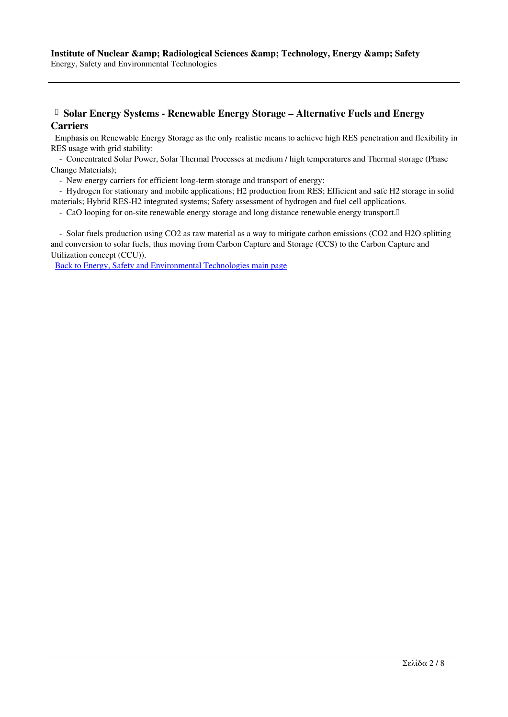# **Solar Energy Systems - Renewable Energy Storage – Alternative Fuels and Energy Carriers**

 Emphasis on Renewable Energy Storage as the only realistic means to achieve high RES penetration and flexibility in RES usage with grid stability:

 - Concentrated Solar Power, Solar Thermal Processes at medium / high temperatures and Thermal storage (Phase Change Materials);

- New energy carriers for efficient long-term storage and transport of energy:

 - Hydrogen for stationary and mobile applications; H2 production from RES; Efficient and safe H2 storage in solid materials; Hybrid RES-H2 integrated systems; Safety assessment of hydrogen and fuel cell applications.

- CaO looping for on-site renewable energy storage and long distance renewable energy transport.

 - Solar fuels production using CO2 as raw material as a way to mitigate carbon emissions (CO2 and H2O splitting and conversion to solar fuels, thus moving from Carbon Capture and Storage (CCS) to the Carbon Capture and Utilization concept (CCU)).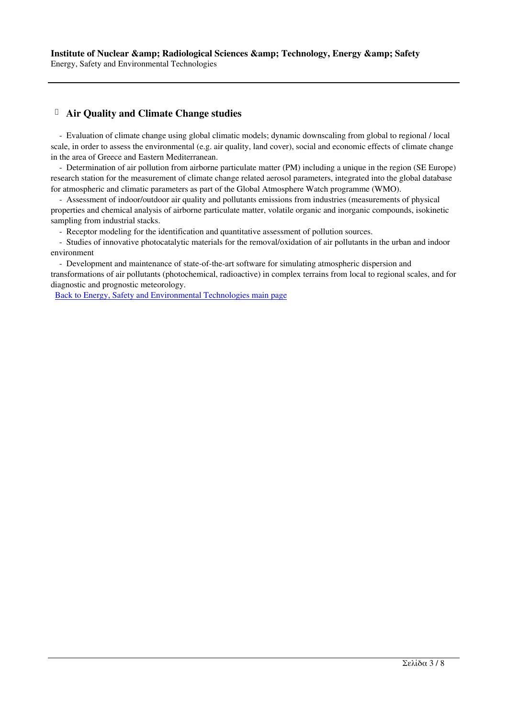## **Air Quality and Climate Change studies**

 - Evaluation of climate change using global climatic models; dynamic downscaling from global to regional / local scale, in order to assess the environmental (e.g. air quality, land cover), social and economic effects of climate change in the area of Greece and Eastern Mediterranean.

 - Determination of air pollution from airborne particulate matter (PM) including a unique in the region (SE Europe) research station for the measurement of climate change related aerosol parameters, integrated into the global database for atmospheric and climatic parameters as part of the Global Atmosphere Watch programme (WMO).

 - Assessment of indoor/outdoor air quality and pollutants emissions from industries (measurements of physical properties and chemical analysis of airborne particulate matter, volatile organic and inorganic compounds, isokinetic sampling from industrial stacks.

- Receptor modeling for the identification and quantitative assessment of pollution sources.

 - Studies of innovative photocatalytic materials for the removal/oxidation of air pollutants in the urban and indoor environment

 - Development and maintenance of state-of-the-art software for simulating atmospheric dispersion and transformations of air pollutants (photochemical, radioactive) in complex terrains from local to regional scales, and for diagnostic and prognostic meteorology.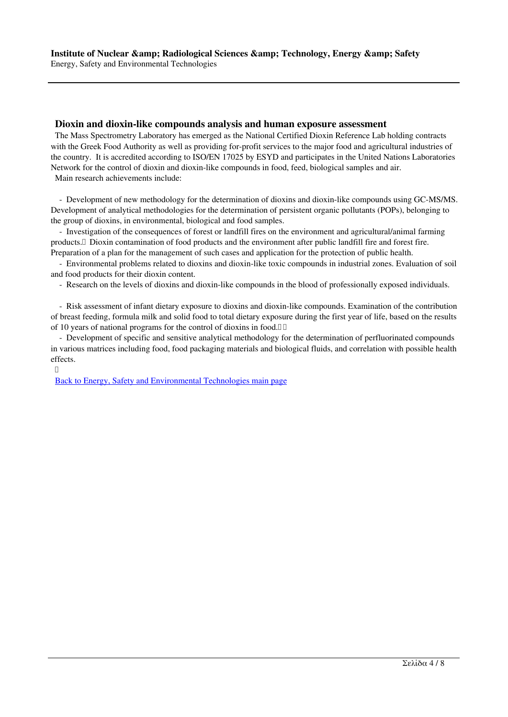#### **Dioxin and dioxin-like compounds analysis and human exposure assessment**

 The Mass Spectrometry Laboratory has emerged as the National Certified Dioxin Reference Lab holding contracts with the Greek Food Authority as well as providing for-profit services to the major food and agricultural industries of the country. It is accredited according to ISO/EN 17025 by ESYD and participates in the United Nations Laboratories Network for the control of dioxin and dioxin-like compounds in food, feed, biological samples and air.

Main research achievements include:

 - Development of new methodology for the determination of dioxins and dioxin-like compounds using GC-MS/MS. Development of analytical methodologies for the determination of persistent organic pollutants (POPs), belonging to the group of dioxins, in environmental, biological and food samples.

 - Investigation of the consequences of forest or landfill fires on the environment and agricultural/animal farming products. Dioxin contamination of food products and the environment after public landfill fire and forest fire. Preparation of a plan for the management of such cases and application for the protection of public health.

 - Environmental problems related to dioxins and dioxin-like toxic compounds in industrial zones. Evaluation of soil and food products for their dioxin content.

- Research on the levels of dioxins and dioxin-like compounds in the blood of professionally exposed individuals.

 - Risk assessment of infant dietary exposure to dioxins and dioxin-like compounds. Examination of the contribution of breast feeding, formula milk and solid food to total dietary exposure during the first year of life, based on the results of 10 years of national programs for the control of dioxins in food.

 - Development of specific and sensitive analytical methodology for the determination of perfluorinated compounds in various matrices including food, food packaging materials and biological fluids, and correlation with possible health effects.

 $\begin{bmatrix} 1 \\ 2 \end{bmatrix}$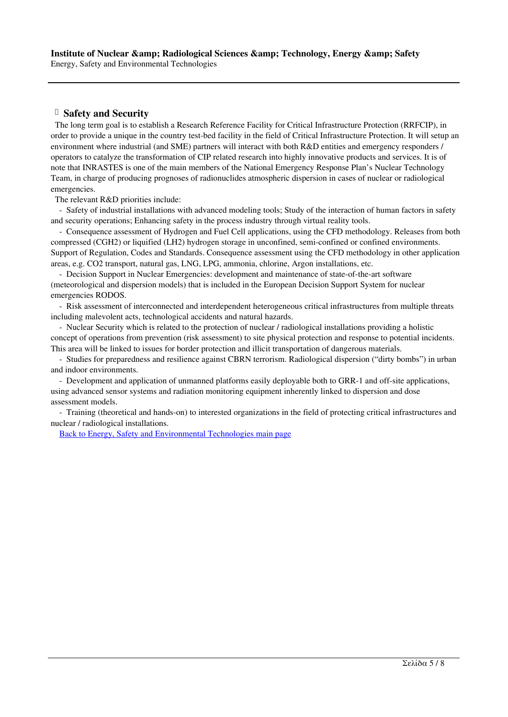## **Safety and Security**

 The long term goal is to establish a Research Reference Facility for Critical Infrastructure Protection (RRFCIP), in order to provide a unique in the country test-bed facility in the field of Critical Infrastructure Protection. It will setup an environment where industrial (and SME) partners will interact with both R&D entities and emergency responders / operators to catalyze the transformation of CIP related research into highly innovative products and services. It is of note that INRASTES is one of the main members of the National Emergency Response Plan's Nuclear Technology Team, in charge of producing prognoses of radionuclides atmospheric dispersion in cases of nuclear or radiological emergencies.

The relevant R&D priorities include:

 - Safety of industrial installations with advanced modeling tools; Study of the interaction of human factors in safety and security operations; Enhancing safety in the process industry through virtual reality tools.

 - Consequence assessment of Hydrogen and Fuel Cell applications, using the CFD methodology. Releases from both compressed (CGH2) or liquified (LH2) hydrogen storage in unconfined, semi-confined or confined environments. Support of Regulation, Codes and Standards. Consequence assessment using the CFD methodology in other application areas, e.g. CO2 transport, natural gas, LNG, LPG, ammonia, chlorine, Argon installations, etc.

 - Decision Support in Nuclear Emergencies: development and maintenance of state-of-the-art software (meteorological and dispersion models) that is included in the European Decision Support System for nuclear emergencies RODOS.

 - Risk assessment of interconnected and interdependent heterogeneous critical infrastructures from multiple threats including malevolent acts, technological accidents and natural hazards.

 - Nuclear Security which is related to the protection of nuclear / radiological installations providing a holistic concept of operations from prevention (risk assessment) to site physical protection and response to potential incidents. This area will be linked to issues for border protection and illicit transportation of dangerous materials.

 - Studies for preparedness and resilience against CBRN terrorism. Radiological dispersion ("dirty bombs") in urban and indoor environments.

 - Development and application of unmanned platforms easily deployable both to GRR-1 and off-site applications, using advanced sensor systems and radiation monitoring equipment inherently linked to dispersion and dose assessment models.

 - Training (theoretical and hands-on) to interested organizations in the field of protecting critical infrastructures and nuclear / radiological installations.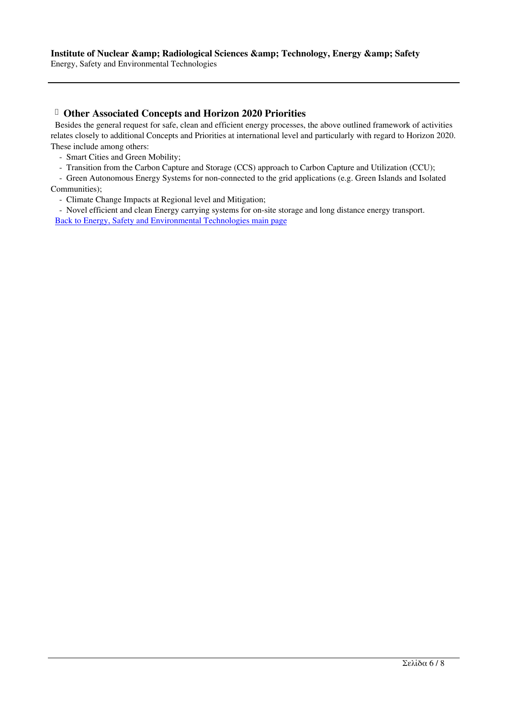Energy, Safety and Environmental Technologies

## **Other Associated Concepts and Horizon 2020 Priorities**

 Besides the general request for safe, clean and efficient energy processes, the above outlined framework of activities relates closely to additional Concepts and Priorities at international level and particularly with regard to Horizon 2020. These include among others:

- Smart Cities and Green Mobility;
- Transition from the Carbon Capture and Storage (CCS) approach to Carbon Capture and Utilization (CCU);

 - Green Autonomous Energy Systems for non-connected to the grid applications (e.g. Green Islands and Isolated Communities);

- Climate Change Impacts at Regional level and Mitigation;

 - Novel efficient and clean Energy carrying systems for on-site storage and long distance energy transport. Back to Energy, Safety and Environmental Technologies main page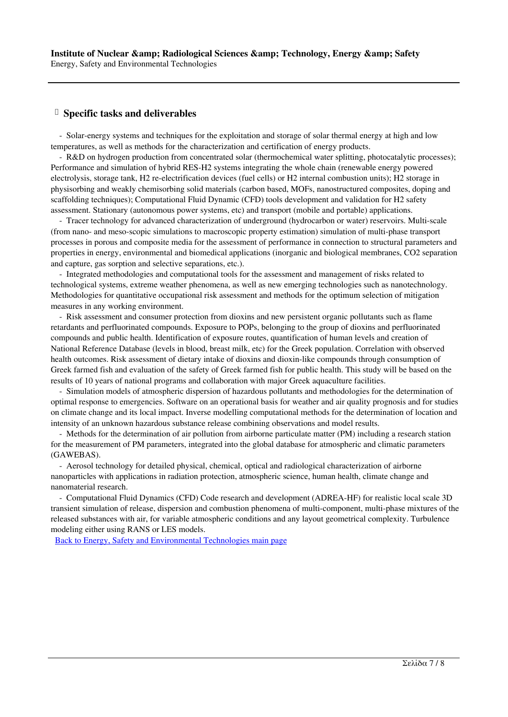## **Specific tasks and deliverables**

 - Solar-energy systems and techniques for the exploitation and storage of solar thermal energy at high and low temperatures, as well as methods for the characterization and certification of energy products.

 - R&D on hydrogen production from concentrated solar (thermochemical water splitting, photocatalytic processes); Performance and simulation of hybrid RES-H2 systems integrating the whole chain (renewable energy powered electrolysis, storage tank, H2 re-electrification devices (fuel cells) or H2 internal combustion units); H2 storage in physisorbing and weakly chemisorbing solid materials (carbon based, MOFs, nanostructured composites, doping and scaffolding techniques); Computational Fluid Dynamic (CFD) tools development and validation for H2 safety assessment. Stationary (autonomous power systems, etc) and transport (mobile and portable) applications.

 - Tracer technology for advanced characterization of underground (hydrocarbon or water) reservoirs. Multi-scale (from nano- and meso-scopic simulations to macroscopic property estimation) simulation of multi-phase transport processes in porous and composite media for the assessment of performance in connection to structural parameters and properties in energy, environmental and biomedical applications (inorganic and biological membranes, CO2 separation and capture, gas sorption and selective separations, etc.).

 - Integrated methodologies and computational tools for the assessment and management of risks related to technological systems, extreme weather phenomena, as well as new emerging technologies such as nanotechnology. Methodologies for quantitative occupational risk assessment and methods for the optimum selection of mitigation measures in any working environment.

 - Risk assessment and consumer protection from dioxins and new persistent organic pollutants such as flame retardants and perfluorinated compounds. Exposure to POPs, belonging to the group of dioxins and perfluorinated compounds and public health. Identification of exposure routes, quantification of human levels and creation of National Reference Database (levels in blood, breast milk, etc) for the Greek population. Correlation with observed health outcomes. Risk assessment of dietary intake of dioxins and dioxin-like compounds through consumption of Greek farmed fish and evaluation of the safety of Greek farmed fish for public health. This study will be based on the results of 10 years of national programs and collaboration with major Greek aquaculture facilities.

 - Simulation models of atmospheric dispersion of hazardous pollutants and methodologies for the determination of optimal response to emergencies. Software on an operational basis for weather and air quality prognosis and for studies on climate change and its local impact. Inverse modelling computational methods for the determination of location and intensity of an unknown hazardous substance release combining observations and model results.

 - Methods for the determination of air pollution from airborne particulate matter (PM) including a research station for the measurement of PM parameters, integrated into the global database for atmospheric and climatic parameters (GAWEBAS).

 - Aerosol technology for detailed physical, chemical, optical and radiological characterization of airborne nanoparticles with applications in radiation protection, atmospheric science, human health, climate change and nanomaterial research.

 - Computational Fluid Dynamics (CFD) Code research and development (ADREA-HF) for realistic local scale 3D transient simulation of release, dispersion and combustion phenomena of multi-component, multi-phase mixtures of the released substances with air, for variable atmospheric conditions and any layout geometrical complexity. Turbulence modeling either using RANS or LES models.